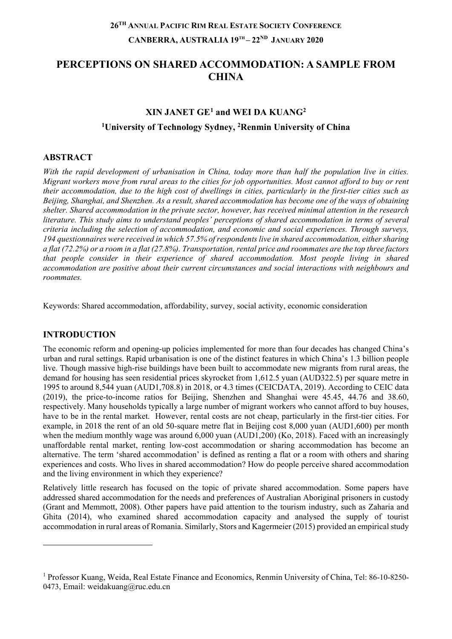# **PERCEPTIONS ON SHARED ACCOMMODATION: A SAMPLE FROM CHINA**

# **XIN JANET GE[1](#page-0-0) and WEI DA KUANG2 1 University of Technology Sydney, 2 Renmin University of China**

# **ABSTRACT**

*With the rapid development of urbanisation in China, today more than half the population live in cities. Migrant workers move from rural areas to the cities for job opportunities. Most cannot afford to buy or rent their accommodation, due to the high cost of dwellings in cities, particularly in the first-tier cities such as Beijing, Shanghai, and Shenzhen. As a result, shared accommodation has become one of the ways of obtaining shelter. Shared accommodation in the private sector, however, has received minimal attention in the research literature. This study aims to understand peoples' perceptions of shared accommodation in terms of several criteria including the selection of accommodation, and economic and social experiences. Through surveys, 194 questionnaires were received in which 57.5% of respondentslive in shared accommodation, either sharing a flat (72.2%) or a room in a flat (27.8%). Transportation, rental price and roommates are the top three factors that people consider in their experience of shared accommodation. Most people living in shared accommodation are positive about their current circumstances and social interactions with neighbours and roommates.*

Keywords: Shared accommodation, affordability, survey, social activity, economic consideration

#### **INTRODUCTION**

 $\overline{a}$ 

The economic reform and opening-up policies implemented for more than four decades has changed China's urban and rural settings. Rapid urbanisation is one of the distinct features in which China's 1.3 billion people live. Though massive high-rise buildings have been built to accommodate new migrants from rural areas, the demand for housing has seen residential prices skyrocket from 1,612.5 yuan (AUD322.5) per square metre in 1995 to around 8,544 yuan (AUD1,708.8) in 2018, or 4.3 times (CEICDATA, 2019). According to CEIC data (2019), the price-to-income ratios for Beijing, Shenzhen and Shanghai were 45.45, 44.76 and 38.60, respectively. Many households typically a large number of migrant workers who cannot afford to buy houses, have to be in the rental market. However, rental costs are not cheap, particularly in the first-tier cities. For example, in 2018 the rent of an old 50-square metre flat in Beijing cost 8,000 yuan (AUD1,600) per month when the medium monthly wage was around 6,000 yuan (AUD1,200) (Ko, 2018). Faced with an increasingly unaffordable rental market, renting low-cost accommodation or sharing accommodation has become an alternative. The term 'shared accommodation' is defined as renting a flat or a room with others and sharing experiences and costs. Who lives in shared accommodation? How do people perceive shared accommodation and the living environment in which they experience?

Relatively little research has focused on the topic of private shared accommodation. Some papers have addressed shared accommodation for the needs and preferences of Australian Aboriginal prisoners in custody (Grant and Memmott, 2008). Other papers have paid attention to the tourism industry, such as Zaharia and Ghita (2014), who examined shared accommodation capacity and analysed the supply of tourist accommodation in rural areas of Romania. Similarly, Stors and Kagermeier (2015) provided an empirical study

<span id="page-0-0"></span><sup>1</sup> Professor Kuang, Weida, Real Estate Finance and Economics, Renmin University of China, Tel: 86-10-8250- 0473, Email: weidakuang@ruc.edu.cn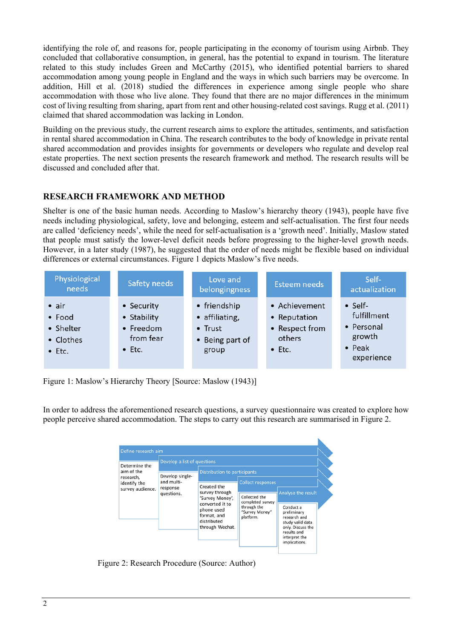identifying the role of, and reasons for, people participating in the economy of tourism using Airbnb. They concluded that collaborative consumption, in general, has the potential to expand in tourism. The literature related to this study includes Green and McCarthy (2015), who identified potential barriers to shared accommodation among young people in England and the ways in which such barriers may be overcome. In addition, Hill et al. (2018) studied the differences in experience among single people who share accommodation with those who live alone. They found that there are no major differences in the minimum cost of living resulting from sharing, apart from rent and other housing-related cost savings. Rugg et al. (2011) claimed that shared accommodation was lacking in London.

Building on the previous study, the current research aims to explore the attitudes, sentiments, and satisfaction in rental shared accommodation in China. The research contributes to the body of knowledge in private rental shared accommodation and provides insights for governments or developers who regulate and develop real estate properties. The next section presents the research framework and method. The research results will be discussed and concluded after that.

# **RESEARCH FRAMEWORK AND METHOD**

Shelter is one of the basic human needs. According to Maslow's hierarchy theory (1943), people have five needs including physiological, safety, love and belonging, esteem and self-actualisation. The first four needs are called 'deficiency needs', while the need for self-actualisation is a 'growth need'. Initially, Maslow stated that people must satisfy the lower-level deficit needs before progressing to the higher-level growth needs. However, in a later study (1987), he suggested that the order of needs might be flexible based on individual differences or external circumstances. Figure 1 depicts Maslow's five needs.

| Physiological<br>needs                                              | <b>Safety needs</b>                                                   | Love and<br>belongingness                                                     | <b>Esteem needs</b>                                                         | Self-<br>actualization                                                                 |
|---------------------------------------------------------------------|-----------------------------------------------------------------------|-------------------------------------------------------------------------------|-----------------------------------------------------------------------------|----------------------------------------------------------------------------------------|
| $\bullet$ air<br>• Food<br>• Shelter<br>• Clothes<br>$\bullet$ Etc. | • Security<br>• Stability<br>• Freedom<br>from fear<br>$\bullet$ Etc. | • friendship<br>· affiliating,<br>$\bullet$ Trust<br>• Being part of<br>group | • Achievement<br>• Reputation<br>• Respect from<br>others<br>$\bullet$ Etc. | $\bullet$ Self-<br>fulfillment<br>• Personal<br>growth<br>$\bullet$ Peak<br>experience |

Figure 1: Maslow's Hierarchy Theory [Source: Maslow (1943)]

In order to address the aforementioned research questions, a survey questionnaire was created to explore how people perceive shared accommodation. The steps to carry out this research are summarised in Figure 2.

| Determine the<br>aim of the<br>research,<br>identify the<br>survey audience. | Develop a list of questions          |                                                                                                                                    |                                                                                                             |                                                                                                                                                          |  |
|------------------------------------------------------------------------------|--------------------------------------|------------------------------------------------------------------------------------------------------------------------------------|-------------------------------------------------------------------------------------------------------------|----------------------------------------------------------------------------------------------------------------------------------------------------------|--|
|                                                                              | Develop single-                      |                                                                                                                                    | Distribution to participants                                                                                |                                                                                                                                                          |  |
|                                                                              | and multi-<br>response<br>questions. | Created the<br>survey through<br>'Survey Money',<br>converted it to<br>phone used<br>format, and<br>distributed<br>through Wechat. | <b>Collect responses</b><br>Collected the<br>completed survey<br>through the<br>"Survey Money"<br>platform. | Analyse the result<br>Conduct a<br>preliminary<br>research and<br>study valid data<br>only. Discuss the<br>results and<br>interpret the<br>implications. |  |

Figure 2: Research Procedure (Source: Author)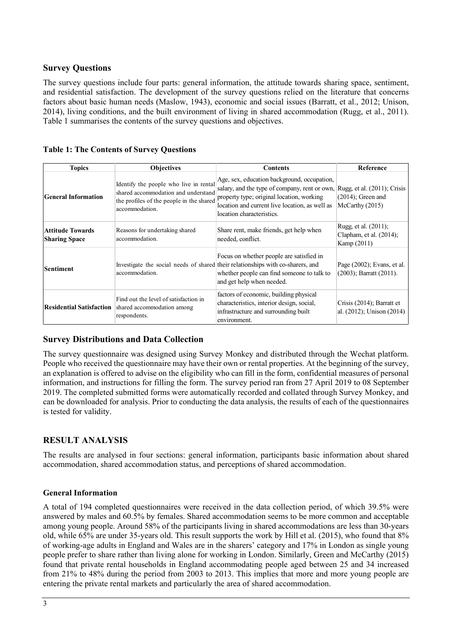### **Survey Questions**

The survey questions include four parts: general information, the attitude towards sharing space, sentiment, and residential satisfaction. The development of the survey questions relied on the literature that concerns factors about basic human needs (Maslow, 1943), economic and social issues (Barratt, et al., 2012; Unison, 2014), living conditions, and the built environment of living in shared accommodation (Rugg, et al., 2011). Table 1 summarises the contents of the survey questions and objectives.

| <b>Table 1: The Contents of Survey Questions</b> |
|--------------------------------------------------|
|--------------------------------------------------|

| <b>Topics</b>                                   | <b>Objectives</b>                                                                                                                           | Contents                                                                                                                                                                                                                                             | Reference                                                      |
|-------------------------------------------------|---------------------------------------------------------------------------------------------------------------------------------------------|------------------------------------------------------------------------------------------------------------------------------------------------------------------------------------------------------------------------------------------------------|----------------------------------------------------------------|
| <b>General Information</b>                      | Identify the people who live in rental<br>shared accommodation and understand<br>the profiles of the people in the shared<br>accommodation. | Age, sex, education background, occupation,<br>salary, and the type of company, rent or own, Rugg, et al. (2011); Crisis<br>property type; original location, working<br>location and current live location, as well as<br>location characteristics. | $(2014)$ ; Green and<br>McCarthy (2015)                        |
| <b>Attitude Towards</b><br><b>Sharing Space</b> | Reasons for undertaking shared<br>accommodation.                                                                                            | Share rent, make friends, get help when<br>needed, conflict.                                                                                                                                                                                         | Rugg, et al. (2011);<br>Clapham, et al. (2014);<br>Kamp (2011) |
| <b>Sentiment</b>                                | accommodation.                                                                                                                              | Focus on whether people are satisfied in<br>Investigate the social needs of shared their relationships with co-sharers, and<br>whether people can find someone to talk to<br>and get help when needed.                                               | Page $(2002)$ ; Evans, et al.<br>$(2003)$ ; Barratt $(2011)$ . |
| <b>Residential Satisfaction</b>                 | Find out the level of satisfaction in<br>shared accommodation among<br>respondents.                                                         | factors of economic, building physical<br>characteristics, interior design, social,<br>infrastructure and surrounding built<br>environment.                                                                                                          | Crisis $(2014)$ ; Barratt et<br>al. (2012); Unison (2014)      |

# **Survey Distributions and Data Collection**

The survey questionnaire was designed using Survey Monkey and distributed through the Wechat platform. People who received the questionnaire may have their own or rental properties. At the beginning of the survey, an explanation is offered to advise on the eligibility who can fill in the form, confidential measures of personal information, and instructions for filling the form. The survey period ran from 27 April 2019 to 08 September 2019. The completed submitted forms were automatically recorded and collated through Survey Monkey, and can be downloaded for analysis. Prior to conducting the data analysis, the results of each of the questionnaires is tested for validity.

# **RESULT ANALYSIS**

The results are analysed in four sections: general information, participants basic information about shared accommodation, shared accommodation status, and perceptions of shared accommodation.

#### **General Information**

A total of 194 completed questionnaires were received in the data collection period, of which 39.5% were answered by males and 60.5% by females. Shared accommodation seems to be more common and acceptable among young people. Around 58% of the participants living in shared accommodations are less than 30-years old, while 65% are under 35-years old. This result supports the work by Hill et al. (2015), who found that 8% of working-age adults in England and Wales are in the sharers' category and 17% in London as single young people prefer to share rather than living alone for working in London. Similarly, Green and McCarthy (2015) found that private rental households in England accommodating people aged between 25 and 34 increased from 21% to 48% during the period from 2003 to 2013. This implies that more and more young people are entering the private rental markets and particularly the area of shared accommodation.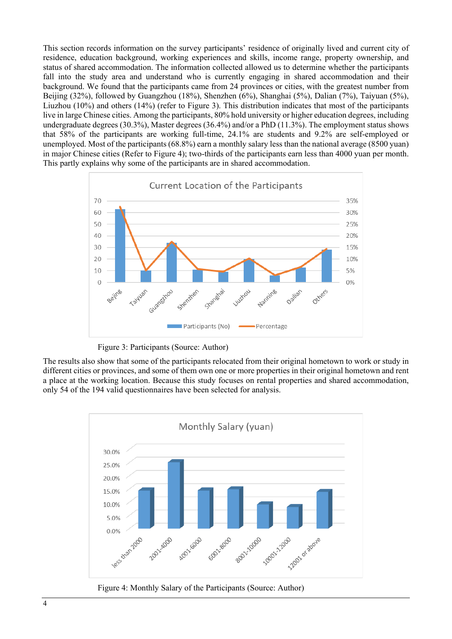This section records information on the survey participants' residence of originally lived and current city of residence, education background, working experiences and skills, income range, property ownership, and status of shared accommodation. The information collected allowed us to determine whether the participants fall into the study area and understand who is currently engaging in shared accommodation and their background. We found that the participants came from 24 provinces or cities, with the greatest number from Beijing (32%), followed by Guangzhou (18%), Shenzhen (6%), Shanghai (5%), Dalian (7%), Taiyuan (5%), Liuzhou (10%) and others (14%) (refer to Figure 3). This distribution indicates that most of the participants live in large Chinese cities. Among the participants, 80% hold university or higher education degrees, including undergraduate degrees (30.3%), Master degrees (36.4%) and/or a PhD (11.3%). The employment status shows that 58% of the participants are working full-time, 24.1% are students and 9.2% are self-employed or unemployed. Most of the participants (68.8%) earn a monthly salary less than the national average (8500 yuan) in major Chinese cities (Refer to Figure 4); two-thirds of the participants earn less than 4000 yuan per month. This partly explains why some of the participants are in shared accommodation.



Figure 3: Participants (Source: Author)

The results also show that some of the participants relocated from their original hometown to work or study in different cities or provinces, and some of them own one or more properties in their original hometown and rent a place at the working location. Because this study focuses on rental properties and shared accommodation, only 54 of the 194 valid questionnaires have been selected for analysis.



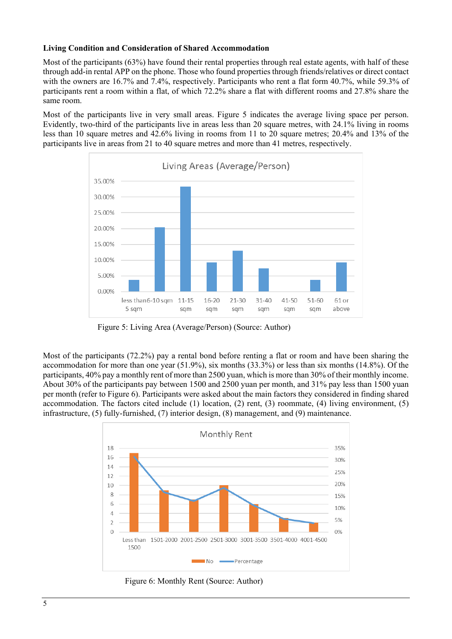#### **Living Condition and Consideration of Shared Accommodation**

Most of the participants (63%) have found their rental properties through real estate agents, with half of these through add-in rental APP on the phone. Those who found properties through friends/relatives or direct contact with the owners are 16.7% and 7.4%, respectively. Participants who rent a flat form 40.7%, while 59.3% of participants rent a room within a flat, of which 72.2% share a flat with different rooms and 27.8% share the same room.

Most of the participants live in very small areas. Figure 5 indicates the average living space per person. Evidently, two-third of the participants live in areas less than 20 square metres, with 24.1% living in rooms less than 10 square metres and 42.6% living in rooms from 11 to 20 square metres; 20.4% and 13% of the participants live in areas from 21 to 40 square metres and more than 41 metres, respectively.



Figure 5: Living Area (Average/Person) (Source: Author)

Most of the participants (72.2%) pay a rental bond before renting a flat or room and have been sharing the accommodation for more than one year (51.9%), six months (33.3%) or less than six months (14.8%). Of the participants, 40% pay a monthly rent of more than 2500 yuan, which is more than 30% of their monthly income. About 30% of the participants pay between 1500 and 2500 yuan per month, and 31% pay less than 1500 yuan per month (refer to Figure 6). Participants were asked about the main factors they considered in finding shared accommodation. The factors cited include (1) location, (2) rent, (3) roommate, (4) living environment, (5) infrastructure, (5) fully-furnished, (7) interior design, (8) management, and (9) maintenance.



Figure 6: Monthly Rent (Source: Author)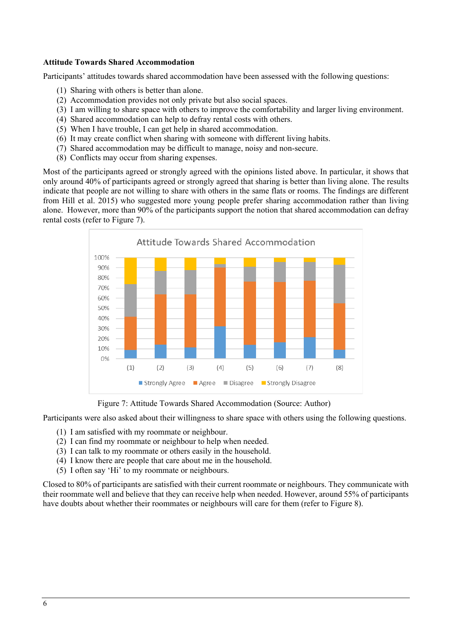#### **Attitude Towards Shared Accommodation**

Participants' attitudes towards shared accommodation have been assessed with the following questions:

- (1) Sharing with others is better than alone.
- (2) Accommodation provides not only private but also social spaces.
- (3) I am willing to share space with others to improve the comfortability and larger living environment.
- (4) Shared accommodation can help to defray rental costs with others.
- (5) When I have trouble, I can get help in shared accommodation.
- (6) It may create conflict when sharing with someone with different living habits.
- (7) Shared accommodation may be difficult to manage, noisy and non-secure.
- (8) Conflicts may occur from sharing expenses.

Most of the participants agreed or strongly agreed with the opinions listed above. In particular, it shows that only around 40% of participants agreed or strongly agreed that sharing is better than living alone. The results indicate that people are not willing to share with others in the same flats or rooms. The findings are different from Hill et al. 2015) who suggested more young people prefer sharing accommodation rather than living alone. However, more than 90% of the participants support the notion that shared accommodation can defray rental costs (refer to Figure 7).



Figure 7: Attitude Towards Shared Accommodation (Source: Author)

Participants were also asked about their willingness to share space with others using the following questions.

- (1) I am satisfied with my roommate or neighbour.
- (2) I can find my roommate or neighbour to help when needed.
- (3) I can talk to my roommate or others easily in the household.
- (4) I know there are people that care about me in the household.
- (5) I often say 'Hi' to my roommate or neighbours.

Closed to 80% of participants are satisfied with their current roommate or neighbours. They communicate with their roommate well and believe that they can receive help when needed. However, around 55% of participants have doubts about whether their roommates or neighbours will care for them (refer to Figure 8).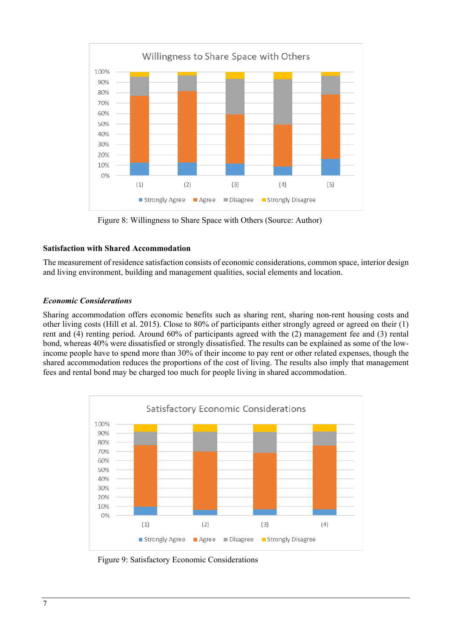

Figure 8: Willingness to Share Space with Others (Source: Author)

#### **Satisfaction with Shared Accommodation**

The measurement of residence satisfaction consists of economic considerations, common space, interior design and living environment, building and management qualities, social elements and location.

#### *Economic Considerations*

Sharing accommodation offers economic benefits such as sharing rent, sharing non-rent housing costs and other living costs (Hill et al. 2015). Close to 80% of participants either strongly agreed or agreed on their (1) rent and (4) renting period. Around 60% of participants agreed with the (2) management fee and (3) rental bond, whereas 40% were dissatisfied or strongly dissatisfied. The results can be explained as some of the lowincome people have to spend more than 30% of their income to pay rent or other related expenses, though the shared accommodation reduces the proportions of the cost of living. The results also imply that management fees and rental bond may be charged too much for people living in shared accommodation.



Figure 9: Satisfactory Economic Considerations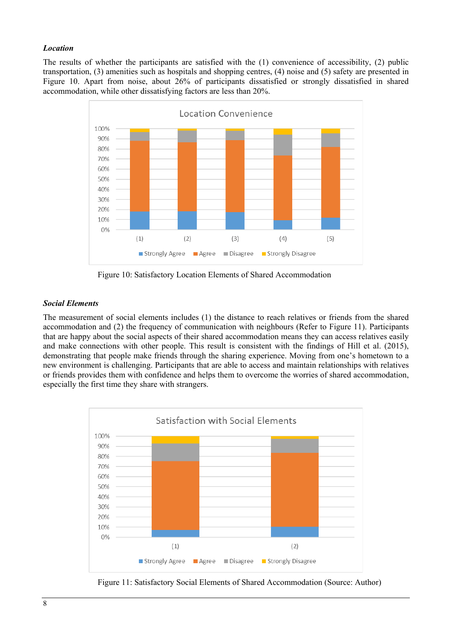#### *Location*

The results of whether the participants are satisfied with the (1) convenience of accessibility, (2) public transportation, (3) amenities such as hospitals and shopping centres, (4) noise and (5) safety are presented in Figure 10. Apart from noise, about 26% of participants dissatisfied or strongly dissatisfied in shared accommodation, while other dissatisfying factors are less than 20%.



Figure 10: Satisfactory Location Elements of Shared Accommodation

#### *Social Elements*

The measurement of social elements includes (1) the distance to reach relatives or friends from the shared accommodation and (2) the frequency of communication with neighbours (Refer to Figure 11). Participants that are happy about the social aspects of their shared accommodation means they can access relatives easily and make connections with other people. This result is consistent with the findings of Hill et al. (2015), demonstrating that people make friends through the sharing experience. Moving from one's hometown to a new environment is challenging. Participants that are able to access and maintain relationships with relatives or friends provides them with confidence and helps them to overcome the worries of shared accommodation, especially the first time they share with strangers.



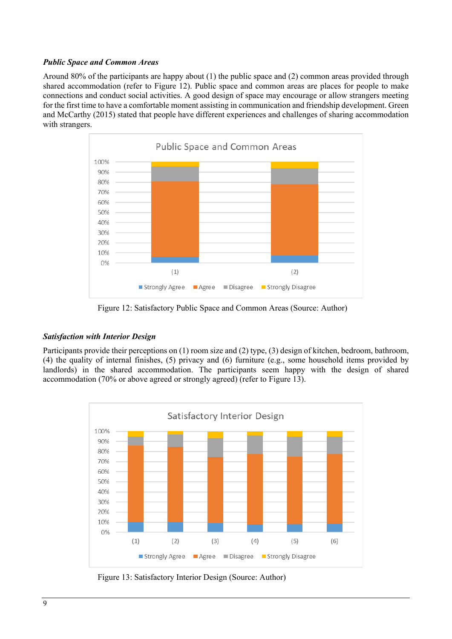#### *Public Space and Common Areas*

Around 80% of the participants are happy about (1) the public space and (2) common areas provided through shared accommodation (refer to Figure 12). Public space and common areas are places for people to make connections and conduct social activities. A good design of space may encourage or allow strangers meeting for the first time to have a comfortable moment assisting in communication and friendship development. Green and McCarthy (2015) stated that people have different experiences and challenges of sharing accommodation with strangers.



Figure 12: Satisfactory Public Space and Common Areas (Source: Author)

#### *Satisfaction with Interior Design*

Participants provide their perceptions on (1) room size and (2) type, (3) design of kitchen, bedroom, bathroom, (4) the quality of internal finishes, (5) privacy and (6) furniture (e.g., some household items provided by landlords) in the shared accommodation. The participants seem happy with the design of shared accommodation (70% or above agreed or strongly agreed) (refer to Figure 13).



Figure 13: Satisfactory Interior Design (Source: Author)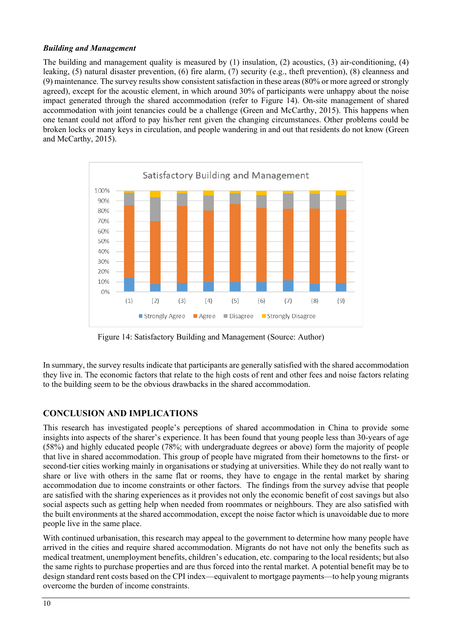#### *Building and Management*

The building and management quality is measured by (1) insulation, (2) acoustics, (3) air-conditioning, (4) leaking, (5) natural disaster prevention, (6) fire alarm, (7) security (e.g., theft prevention), (8) cleanness and (9) maintenance. The survey results show consistent satisfaction in these areas(80% or more agreed or strongly agreed), except for the acoustic element, in which around 30% of participants were unhappy about the noise impact generated through the shared accommodation (refer to Figure 14). On-site management of shared accommodation with joint tenancies could be a challenge (Green and McCarthy, 2015). This happens when one tenant could not afford to pay his/her rent given the changing circumstances. Other problems could be broken locks or many keys in circulation, and people wandering in and out that residents do not know (Green and McCarthy, 2015).



Figure 14: Satisfactory Building and Management (Source: Author)

In summary, the survey results indicate that participants are generally satisfied with the shared accommodation they live in. The economic factors that relate to the high costs of rent and other fees and noise factors relating to the building seem to be the obvious drawbacks in the shared accommodation.

# **CONCLUSION AND IMPLICATIONS**

This research has investigated people's perceptions of shared accommodation in China to provide some insights into aspects of the sharer's experience. It has been found that young people less than 30-years of age (58%) and highly educated people (78%; with undergraduate degrees or above) form the majority of people that live in shared accommodation. This group of people have migrated from their hometowns to the first- or second-tier cities working mainly in organisations or studying at universities. While they do not really want to share or live with others in the same flat or rooms, they have to engage in the rental market by sharing accommodation due to income constraints or other factors. The findings from the survey advise that people are satisfied with the sharing experiences as it provides not only the economic benefit of cost savings but also social aspects such as getting help when needed from roommates or neighbours. They are also satisfied with the built environments at the shared accommodation, except the noise factor which is unavoidable due to more people live in the same place.

With continued urbanisation, this research may appeal to the government to determine how many people have arrived in the cities and require shared accommodation. Migrants do not have not only the benefits such as medical treatment, unemployment benefits, children's education, etc. comparing to the local residents; but also the same rights to purchase properties and are thus forced into the rental market. A potential benefit may be to design standard rent costs based on the CPI index—equivalent to mortgage payments—to help young migrants overcome the burden of income constraints.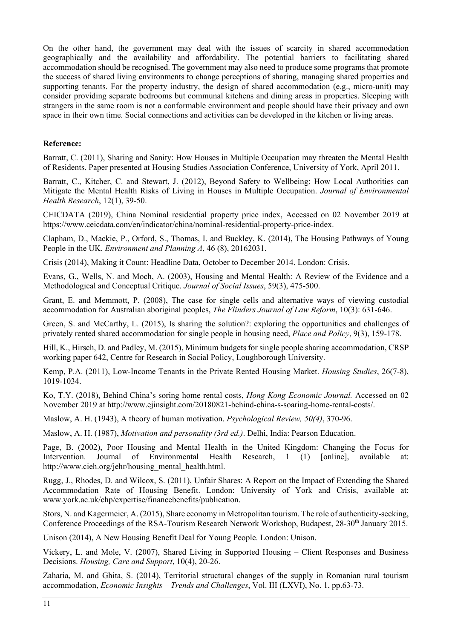On the other hand, the government may deal with the issues of scarcity in shared accommodation geographically and the availability and affordability. The potential barriers to facilitating shared accommodation should be recognised. The government may also need to produce some programs that promote the success of shared living environments to change perceptions of sharing, managing shared properties and supporting tenants. For the property industry, the design of shared accommodation (e.g., micro-unit) may consider providing separate bedrooms but communal kitchens and dining areas in properties. Sleeping with strangers in the same room is not a conformable environment and people should have their privacy and own space in their own time. Social connections and activities can be developed in the kitchen or living areas.

#### **Reference:**

Barratt, C. (2011), Sharing and Sanity: How Houses in Multiple Occupation may threaten the Mental Health of Residents. Paper presented at Housing Studies Association Conference, University of York, April 2011.

Barratt, C., Kitcher, C. and Stewart, J. (2012), Beyond Safety to Wellbeing: How Local Authorities can Mitigate the Mental Health Risks of Living in Houses in Multiple Occupation. *Journal of Environmental Health Research*, 12(1), 39-50.

CEICDATA (2019), China Nominal residential property price index, Accessed on 02 November 2019 at https://www.ceicdata.com/en/indicator/china/nominal-residential-property-price-index.

Clapham, D., Mackie, P., Orford, S., Thomas, I. and Buckley, K. (2014), The Housing Pathways of Young People in the UK. *Environment and Planning A*, 46 (8), 20162031.

Crisis (2014), Making it Count: Headline Data, October to December 2014. London: Crisis.

Evans, G., Wells, N. and Moch, A. (2003), Housing and Mental Health: A Review of the Evidence and a Methodological and Conceptual Critique. *Journal of Social Issues*, 59(3), 475-500.

Grant, E. and Memmott, P. (2008), The case for single cells and alternative ways of viewing custodial accommodation for Australian aboriginal peoples, *The Flinders Journal of Law Reform*, 10(3): 631-646.

Green, S. and McCarthy, L. (2015), Is sharing the solution?: exploring the opportunities and challenges of privately rented shared accommodation for single people in housing need, *Place and Policy*, 9(3), 159-178.

Hill, K., Hirsch, D. and Padley, M. (2015), Minimum budgets for single people sharing accommodation, CRSP working paper 642, Centre for Research in Social Policy, Loughborough University.

Kemp, P.A. (2011), Low-Income Tenants in the Private Rented Housing Market. *Housing Studies*, 26(7-8), 1019-1034.

Ko, T.Y. (2018), Behind China's soring home rental costs, *Hong Kong Economic Journal.* Accessed on 02 November 2019 at http://www.ejinsight.com/20180821-behind-china-s-soaring-home-rental-costs/.

Maslow, A. H. (1943), A theory of human motivation. *Psychological Review, 50(4)*, 370-96.

Maslow, A. H. (1987), *Motivation and personality (3rd ed.)*. Delhi, India: Pearson Education.

Page, B. (2002), Poor Housing and Mental Health in the United Kingdom: Changing the Focus for Intervention. Journal of Environmental Health Research, 1 (1) [online], available at: http://www.cieh.org/jehr/housing\_mental\_health.html.

Rugg, J., Rhodes, D. and Wilcox, S. (2011), Unfair Shares: A Report on the Impact of Extending the Shared Accommodation Rate of Housing Benefit. London: University of York and Crisis, available at: www.york.ac.uk/chp/expertise/financebenefits/publication.

Stors, N. and Kagermeier, A. (2015), Share economy in Metropolitan tourism. The role of authenticity-seeking, Conference Proceedings of the RSA-Tourism Research Network Workshop, Budapest, 28-30<sup>th</sup> January 2015.

Unison (2014), A New Housing Benefit Deal for Young People. London: Unison.

Vickery, L. and Mole, V. (2007), Shared Living in Supported Housing – Client Responses and Business Decisions. *Housing, Care and Support*, 10(4), 20-26.

Zaharia, M. and Ghita, S. (2014), Territorial structural changes of the supply in Romanian rural tourism accommodation, *Economic Insights – Trends and Challenges*, Vol. III (LXVI), No. 1, pp.63-73.